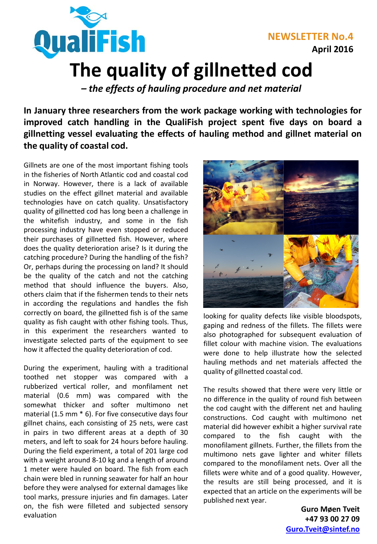

**NEWSLETTER No.4 April 2016**

## **The quality of gillnetted cod**

*– the effects of hauling procedure and net material*

**In January three researchers from the work package working with technologies for improved catch handling in the QualiFish project spent five days on board a gillnetting vessel evaluating the effects of hauling method and gillnet material on the quality of coastal cod.**

Gillnets are one of the most important fishing tools in the fisheries of North Atlantic cod and coastal cod in Norway. However, there is a lack of available studies on the effect gillnet material and available technologies have on catch quality. Unsatisfactory quality of gillnetted cod has long been a challenge in the whitefish industry, and some in the fish processing industry have even stopped or reduced their purchases of gillnetted fish. However, where does the quality deterioration arise? Is it during the catching procedure? During the handling of the fish? Or, perhaps during the processing on land? It should be the quality of the catch and not the catching method that should influence the buyers. Also, others claim that if the fishermen tends to their nets in according the regulations and handles the fish correctly on board, the gillnetted fish is of the same quality as fish caught with other fishing tools. Thus, in this experiment the researchers wanted to investigate selected parts of the equipment to see how it affected the quality deterioration of cod.

During the experiment, hauling with a traditional toothed net stopper was compared with a rubberized vertical roller, and monfilament net material (0.6 mm) was compared with the somewhat thicker and softer multimono net material (1.5 mm \* 6). For five consecutive days four gillnet chains, each consisting of 25 nets, were cast in pairs in two different areas at a depth of 30 meters, and left to soak for 24 hours before hauling. During the field experiment, a total of 201 large cod with a weight around 8-10 kg and a length of around 1 meter were hauled on board. The fish from each chain were bled in running seawater for half an hour before they were analysed for external damages like tool marks, pressure injuries and fin damages. Later on, the fish were filleted and subjected sensory evaluation



looking for quality defects like visible bloodspots, gaping and redness of the fillets. The fillets were also photographed for subsequent evaluation of fillet colour with machine vision. The evaluations were done to help illustrate how the selected hauling methods and net materials affected the quality of gillnetted coastal cod.

The results showed that there were very little or no difference in the quality of round fish between the cod caught with the different net and hauling constructions. Cod caught with multimono net material did however exhibit a higher survival rate compared to the fish caught with the monofilament gillnets. Further, the fillets from the multimono nets gave lighter and whiter fillets compared to the monofilament nets. Over all the fillets were white and of a good quality. However, the results are still being processed, and it is expected that an article on the experiments will be published next year.

> **Guro Møen Tveit +47 93 00 27 09 [Guro.Tveit@sintef.no](mailto:Ida.G.Aursand@sintef.no)**